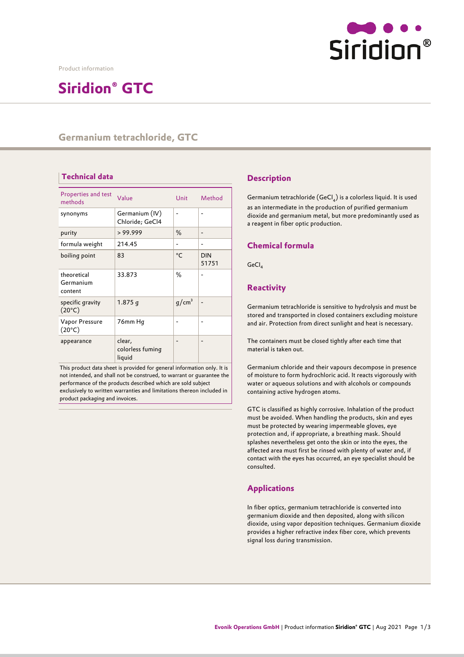

Product information

# **Siridion® GTC**

# **Germanium tetrachloride, GTC**

# **Technical data Description**

| Properties and test<br>methods      | Value                                | Unit              | Method              |
|-------------------------------------|--------------------------------------|-------------------|---------------------|
| synonyms                            | Germanium (IV)<br>Chloride; GeCl4    |                   |                     |
| purity                              | > 99.999                             | %                 |                     |
| formula weight                      | 214.45                               |                   |                     |
| boiling point                       | 83                                   | $^{\circ}C$       | <b>DIN</b><br>51751 |
| theoretical<br>Germanium<br>content | 33.873                               | %                 |                     |
| specific gravity<br>$(20^{\circ}C)$ | $1.875$ q                            | g/cm <sup>3</sup> |                     |
| Vapor Pressure<br>$(20^{\circ}C)$   | 76mm Hq                              |                   |                     |
| appearance                          | clear,<br>colorless fuming<br>liquid |                   |                     |

This product data sheet is provided for general information only. It is not intended, and shall not be construed, to warrant or guarantee the performance of the products described which are sold subject exclusively to written warranties and limitations thereon included in product packaging and invoices.

Germanium tetrachloride (GeCl<sub>4</sub>) is a colorless liquid. It is used as an intermediate in the production of purified germanium dioxide and germanium metal, but more predominantly used as a reagent in fiber optic production.

#### **Chemical formula**

GeCl,

## **Reactivity**

Germanium tetrachloride is sensitive to hydrolysis and must be stored and transported in closed containers excluding moisture and air. Protection from direct sunlight and heat is necessary.

The containers must be closed tightly after each time that material is taken out.

Germanium chloride and their vapours decompose in presence of moisture to form hydrochloric acid. It reacts vigorously with water or aqueous solutions and with alcohols or compounds containing active hydrogen atoms.

GTC is classified as highly corrosive. Inhalation of the product must be avoided. When handling the products, skin and eyes must be protected by wearing impermeable gloves, eye protection and, if appropriate, a breathing mask. Should splashes nevertheless get onto the skin or into the eyes, the affected area must first be rinsed with plenty of water and, if contact with the eyes has occurred, an eye specialist should be consulted.

## **Applications**

In fiber optics, germanium tetrachloride is converted into germanium dioxide and then deposited, along with silicon dioxide, using vapor deposition techniques. Germanium dioxide provides a higher refractive index fiber core, which prevents signal loss during transmission.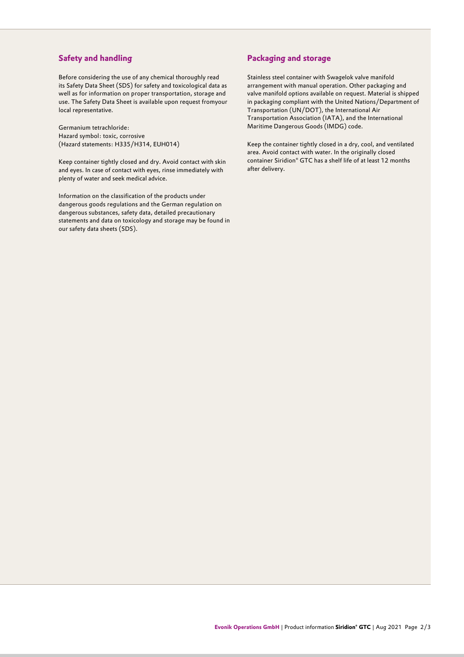#### **Safety and handling**

Before considering the use of any chemical thoroughly read its Safety Data Sheet (SDS) for safety and toxicological data as well as for information on proper transportation, storage and use. The Safety Data Sheet is available upon request fromyour local representative.

Germanium tetrachloride: Hazard symbol: toxic, corrosive (Hazard statements: H335/H314, EUH014)

Keep container tightly closed and dry. Avoid contact with skin and eyes. In case of contact with eyes, rinse immediately with plenty of water and seek medical advice.

Information on the classification of the products under dangerous goods regulations and the German regulation on dangerous substances, safety data, detailed precautionary statements and data on toxicology and storage may be found in our safety data sheets (SDS).

#### **Packaging and storage**

Stainless steel container with Swagelok valve manifold arrangement with manual operation. Other packaging and valve manifold options available on request. Material is shipped in packaging compliant with the United Nations/Department of Transportation (UN/DOT), the International Air Transportation Association (IATA), and the International Maritime Dangerous Goods (IMDG) code.

Keep the container tightly closed in a dry, cool, and ventilated area. Avoid contact with water. In the originally closed container Siridion® GTC has a shelf life of at least 12 months after delivery.